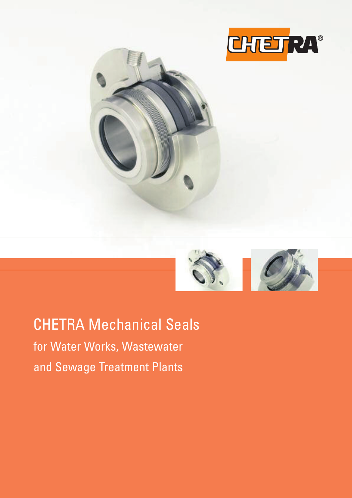





## CHETRA Mechanical Seals

for Water Works, Wastewater and Sewage Treatment Plants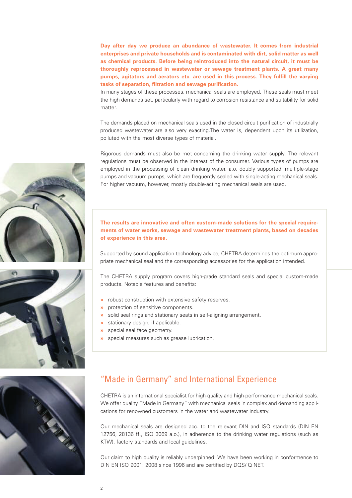**Day after day we produce an abundance of wastewater. It comes from industrial enterprises and private households and is contaminated with dirt, solid matter as well as chemical products. Before being reintroduced into the natural circuit, it must be thoroughly reprocessed in wastewater or sewage treatment plants. A great many pumps, agitators and aerators etc. are used in this process. They fulfill the varying tasks of separation, filtration and sewage purification.**

In many stages of these processes, mechanical seals are employed. These seals must meet the high demands set, particularly with regard to corrosion resistance and suitability for solid matter.

The demands placed on mechanical seals used in the closed circuit purification of industrially produced wastewater are also very exacting.The water is, dependent upon its utilization, polluted with the most diverse types of material.

Rigorous demands must also be met concerning the drinking water supply. The relevant regulations must be observed in the interest of the consumer. Various types of pumps are employed in the processing of clean drinking water, a.o. doubly supported, multiple-stage pumps and vacuum pumps, which are frequently sealed with single-acting mechanical seals. For higher vacuum, however, mostly double-acting mechanical seals are used.





**The results are innovative and often custom-made solutions for the special requirements of water works, sewage and wastewater treatment plants, based on decades of experience in this area.**

Supported by sound application technology advice, CHETRA determines the optimum appropriate mechanical seal and the corresponding accessories for the application intended.

The CHETRA supply program covers high-grade standard seals and special custom-made products. Notable features and benefits:

- **»** robust construction with extensive safety reserves.
- **»** protection of sensitive components.
- **»** solid seal rings and stationary seats in self-aligning arrangement.
- **»** stationary design, if applicable.
- **»** special seal face geometry.
- **»** special measures such as grease lubrication.



## "Made in Germany" and International Experience

CHETRA is an international specialist for high-quality and high-performance mechanical seals. We offer quality "Made in Germany" with mechanical seals in complex and demanding applications for renowned customers in the water and wastewater industry.

Our mechanical seals are designed acc. to the relevant DIN and ISO standards (DIN EN 12756, 28136 ff., ISO 3069 a.o.), in adherence to the drinking water regulations (such as KTW), factory standards and local guidelines.

Our claim to high quality is reliably underpinned: We have been working in conformence to DIN EN ISO 9001: 2008 since 1996 and are certified by DQS/IQ NET.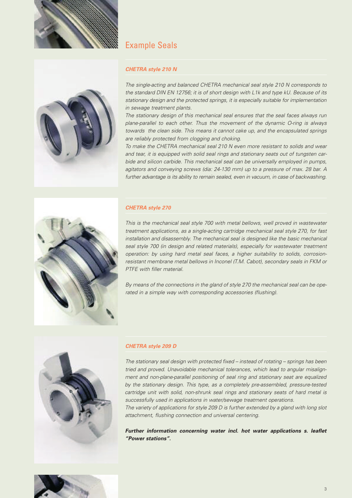



## Example Seals

#### *CHETRA style 210 N*

*The single-acting and balanced CHETRA mechanical seal style 210 N corresponds to the standard DIN EN 12756; it is of short design with L1k and type kU. Because of its stationary design and the protected springs, it is especially suitable for implementation in sewage treatment plants.*

*The stationary design of this mechanical seal ensures that the seal faces always run plane-parallel to each other. Thus the movement of the dynamic O-ring is always towards the clean side. This means it cannot cake up, and the encapsulated springs are reliably protected from clogging and choking.*

*To make the CHETRA mechanical seal 210 N even more resistant to solids and wear and tear, it is equipped with solid seal rings and stationary seats out of tungsten carbide and silicon carbide. This mechanical seal can be universally employed in pumps, agitators and conveying screws (dia: 24-130 mm) up to a pressure of max. 28 bar. A further advantage is its ability to remain sealed, even in vacuum, in case of backwashing.*



#### *CHETRA style 270*

*This is the mechanical seal style 700 with metal bellows, well proved in wastewater treatment applications, as a single-acting cartridge mechanical seal style 270, for fast installation and disassembly. The mechanical seal is designed like the basic mechanical seal style 700 (in design and related materials), especially for wastewater treatment operation: by using hard metal seal faces, a higher suitability to solids, corrosionresistant membrane metal bellows in Inconel (T.M. Cabot), secondary seals in FKM or PTFE with filler material.*

*By means of the connections in the gland of style 270 the mechanical seal can be operated in a simple way with corresponding accessories (flushing).*



#### *CHETRA style 209 D*

*The stationary seal design with protected fixed – instead of rotating – springs has been tried and proved. Unavoidable mechanical tolerances, which lead to angular misalignment and non-plane-parallel positioning of seal ring and stationary seat are equalized by the stationary design. This type, as a completely pre-assembled, pressure-tested cartridge unit with solid, non-shrunk seal rings and stationary seats of hard metal is successfully used in applications in water/sewage treatment operations.*

*The variety of applications for style 209 D is further extended by a gland with long slot attachment, flushing connection and universal centering.*

*Further information concerning water incl. hot water applications s. leaflet "Power stations".*

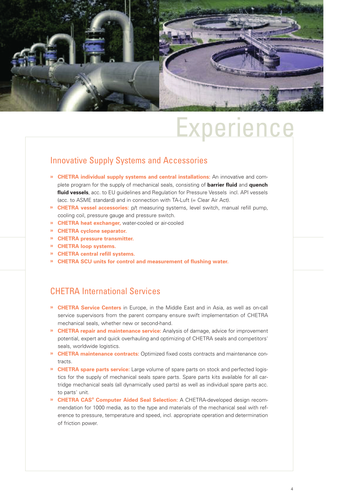

## oerience

## Innovative Supply Systems and Accessories

- **» CHETRA individual supply systems and central installations:** An innovative and complete program for the supply of mechanical seals, consisting of **barrier fluid** and **quench fluid vessels**, acc. to EU guidelines and Regulation for Pressure Vessels incl. API vessels (acc. to ASME standard) and in connection with TA-Luft (= Clear Air Act).
- **» CHETRA vessel accessories:** p/t measuring systems, level switch, manual refill pump, cooling coil, pressure gauge and pressure switch.
- **» CHETRA heat exchanger,** water-cooled or air-cooled
- **» CHETRA cyclone separator.**
- **» CHETRA pressure transmitter.**
- **» CHETRA loop systems.**
- **» CHETRA central refill systems.**
- **» CHETRA SCU units for control and measurement of flushing water.**

### CHETRA International Services

- **» CHETRA Service Centers** in Europe, in the Middle East and in Asia, as well as on-call service supervisors from the parent company ensure swift implementation of CHETRA mechanical seals, whether new or second-hand.
- **» CHETRA repair and maintenance service:** Analysis of damage, advice for improvement potential, expert and quick overhauling and optimizing of CHETRA seals and competitors' seals, worldwide logistics.
- **» CHETRA maintenance contracts:** Optimized fixed costs contracts and maintenance contracts.
- **» CHETRA spare parts service:** Large volume of spare parts on stock and perfected logistics for the supply of mechanical seals spare parts. Spare parts kits available for all cartridge mechanical seals (all dynamically used parts) as well as individual spare parts acc. to parts' unit.
- **» CHETRA CAS® Computer Aided Seal Selection:** A CHETRA-developed design recommendation for 1000 media, as to the type and materials of the mechanical seal with reference to pressure, temperature and speed, incl. appropriate operation and determination of friction power.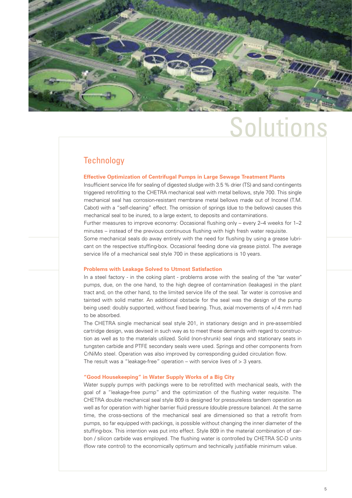

# Solution

### **Technology**

#### **Effective Optimization of Centrifugal Pumps in Large Sewage Treatment Plants**

Insufficient service life for sealing of digested sludge with 3.5 % drier (TS) and sand contingents triggered retrofitting to the CHETRA mechanical seal with metal bellows, style 700. This single mechanical seal has corrosion-resistant membrane metal bellows made out of Inconel (T.M. Cabot) with a "self-cleaning" effect. The omission of springs (due to the bellows) causes this mechanical seal to be inured, to a large extent, to deposits and contaminations.

Further measures to improve economy: Occasional flushing only – every 2–4 weeks for 1–2 minutes – instead of the previous continuous flushing with high fresh water requisite.

Some mechanical seals do away entirely with the need for flushing by using a grease lubricant on the respective stuffing-box. Occasional feeding done via grease pistol. The average service life of a mechanical seal style 700 in these applications is 10 years.

#### **Problems with Leakage Solved to Utmost Satisfaction**

In a steel factory - in the coking plant - problems arose with the sealing of the "tar water" pumps, due, on the one hand, to the high degree of contamination (leakages) in the plant tract and, on the other hand, to the limited service life of the seal. Tar water is corrosive and tainted with solid matter. An additional obstacle for the seal was the design of the pump being used: doubly supported, without fixed bearing. Thus, axial movements of +/-4 mm had to be absorbed.

The CHETRA single mechanical seal style 201, in stationary design and in pre-assembled cartridge design, was devised in such way as to meet these demands with regard to construction as well as to the materials utilized. Solid (non-shrunk) seal rings and stationary seats in tungsten carbide and PTFE secondary seals were used. Springs and other components from CrNiMo steel. Operation was also improved by corresponding guided circulation flow. The result was a "leakage-free" operation – with service lives of  $>$  3 years.

#### **"Good Housekeeping" in Water Supply Works of a Big City**

Water supply pumps with packings were to be retrofitted with mechanical seals, with the goal of a "leakage-free pump" and the optimization of the flushing water requisite. The CHETRA double mechanical seal style 809 is designed for pressureless tandem operation as well as for operation with higher barrier fluid pressure (double pressure balance). At the same time, the cross-sections of the mechanical seal are dimensioned so that a retrofit from pumps, so far equipped with packings, is possible without changing the inner diameter of the stuffing-box. This intention was put into effect. Style 809 in the material combination of carbon / silicon carbide was employed. The flushing water is controlled by CHETRA SC-D units (flow rate control) to the economically optimum and technically justifiable minimum value.